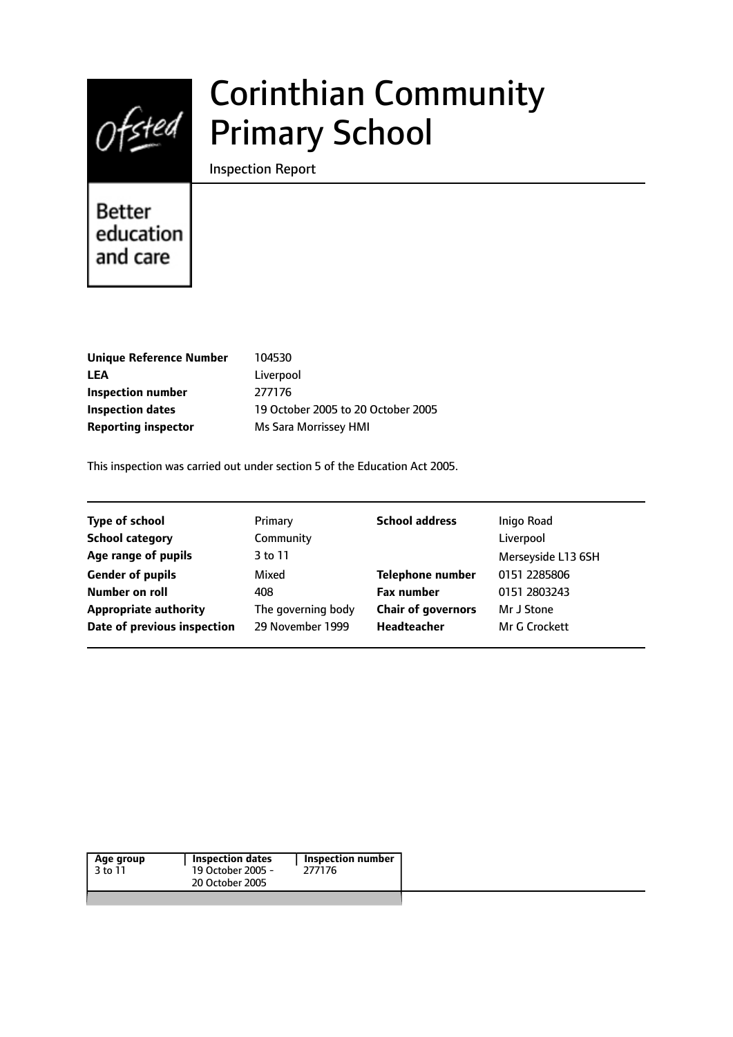

# Corinthian Community Primary School

Inspection Report

Better education and care

| 104530                             |
|------------------------------------|
| Liverpool                          |
| 277176                             |
| 19 October 2005 to 20 October 2005 |
| Ms Sara Morrissey HMI              |
|                                    |

This inspection was carried out under section 5 of the Education Act 2005.

| <b>Type of school</b>        | Primary            | <b>School address</b>     | Inigo Road         |
|------------------------------|--------------------|---------------------------|--------------------|
| <b>School category</b>       | Community          |                           | Liverpool          |
| Age range of pupils          | 3 to 11            |                           | Merseyside L13 6SH |
| <b>Gender of pupils</b>      | Mixed              | <b>Telephone number</b>   | 0151 2285806       |
| Number on roll               | 408                | <b>Fax number</b>         | 0151 2803243       |
| <b>Appropriate authority</b> | The governing body | <b>Chair of governors</b> | Mr J Stone         |
| Date of previous inspection  | 29 November 1999   | Headteacher               | Mr G Crockett      |
|                              |                    |                           |                    |

| Age group | Inspection dates  | Inspection number |
|-----------|-------------------|-------------------|
| 3 to 11   | 19 October 2005 - | 277176            |
|           | 20 October 2005   |                   |
|           |                   |                   |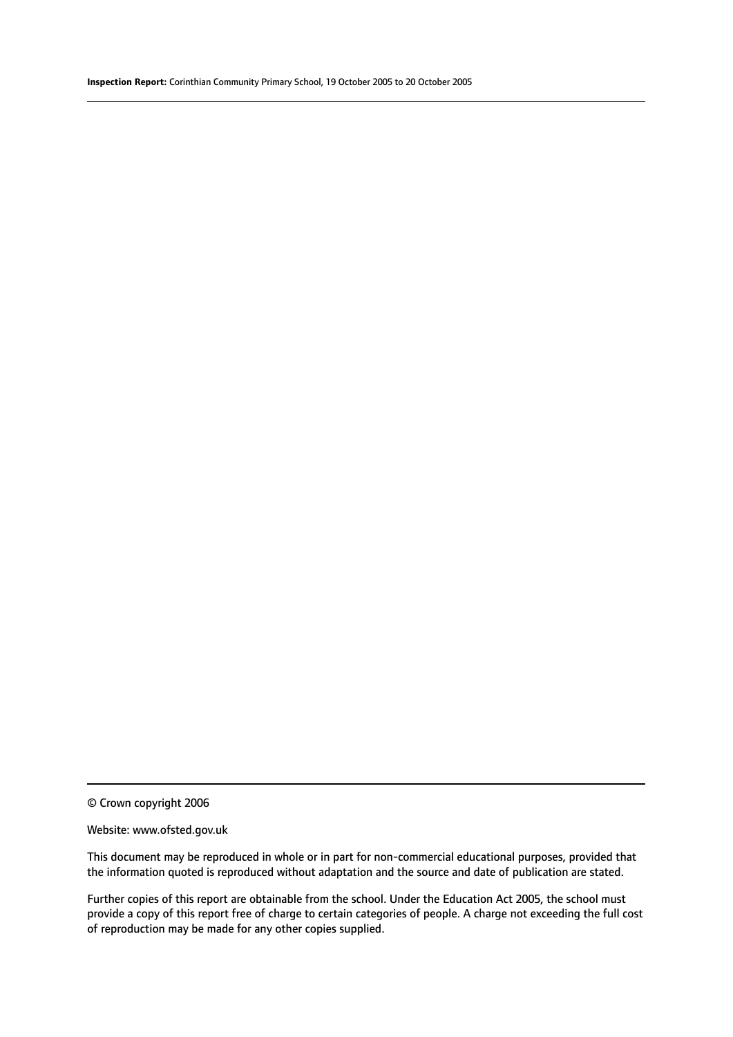#### Website: www.ofsted.gov.uk

This document may be reproduced in whole or in part for non-commercial educational purposes, provided that the information quoted is reproduced without adaptation and the source and date of publication are stated.

Further copies of this report are obtainable from the school. Under the Education Act 2005, the school must provide a copy of this report free of charge to certain categories of people. A charge not exceeding the full cost of reproduction may be made for any other copies supplied.

<sup>©</sup> Crown copyright 2006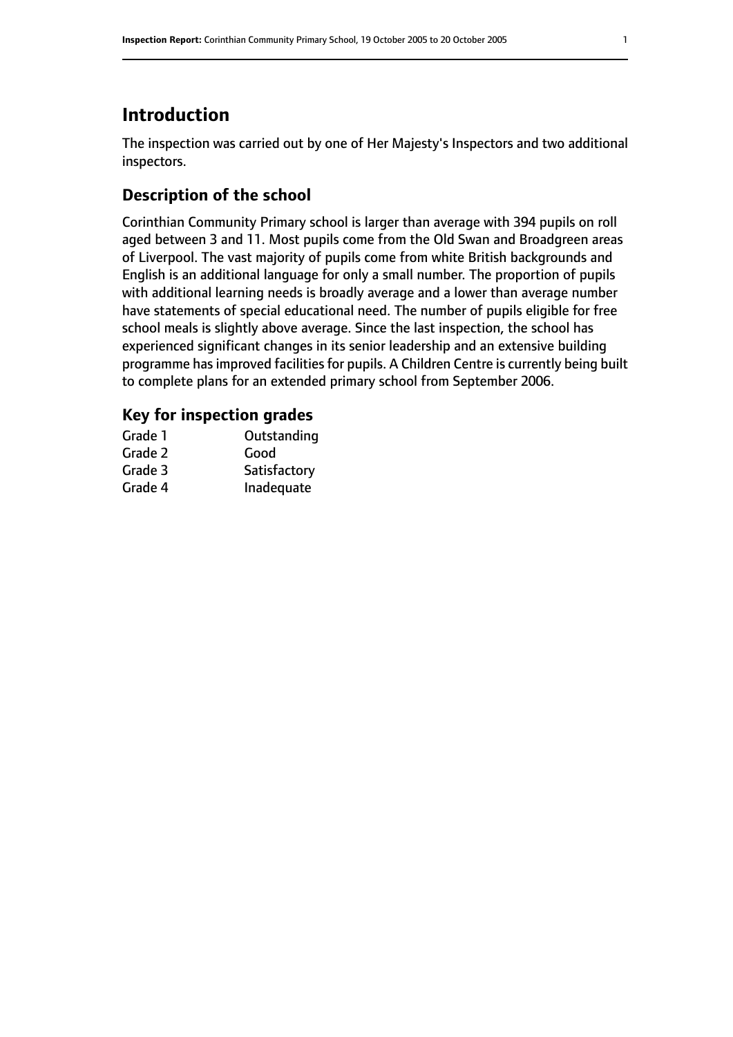# **Introduction**

The inspection was carried out by one of Her Majesty's Inspectors and two additional inspectors.

# **Description of the school**

Corinthian Community Primary school is larger than average with 394 pupils on roll aged between 3 and 11. Most pupils come from the Old Swan and Broadgreen areas of Liverpool. The vast majority of pupils come from white British backgrounds and English is an additional language for only a small number. The proportion of pupils with additional learning needs is broadly average and a lower than average number have statements of special educational need. The number of pupils eligible for free school meals is slightly above average. Since the last inspection, the school has experienced significant changes in its senior leadership and an extensive building programme has improved facilities for pupils. A Children Centre is currently being built to complete plans for an extended primary school from September 2006.

# **Key for inspection grades**

| Grade 1 | Outstanding  |
|---------|--------------|
| Grade 2 | Good         |
| Grade 3 | Satisfactory |
| Grade 4 | Inadequate   |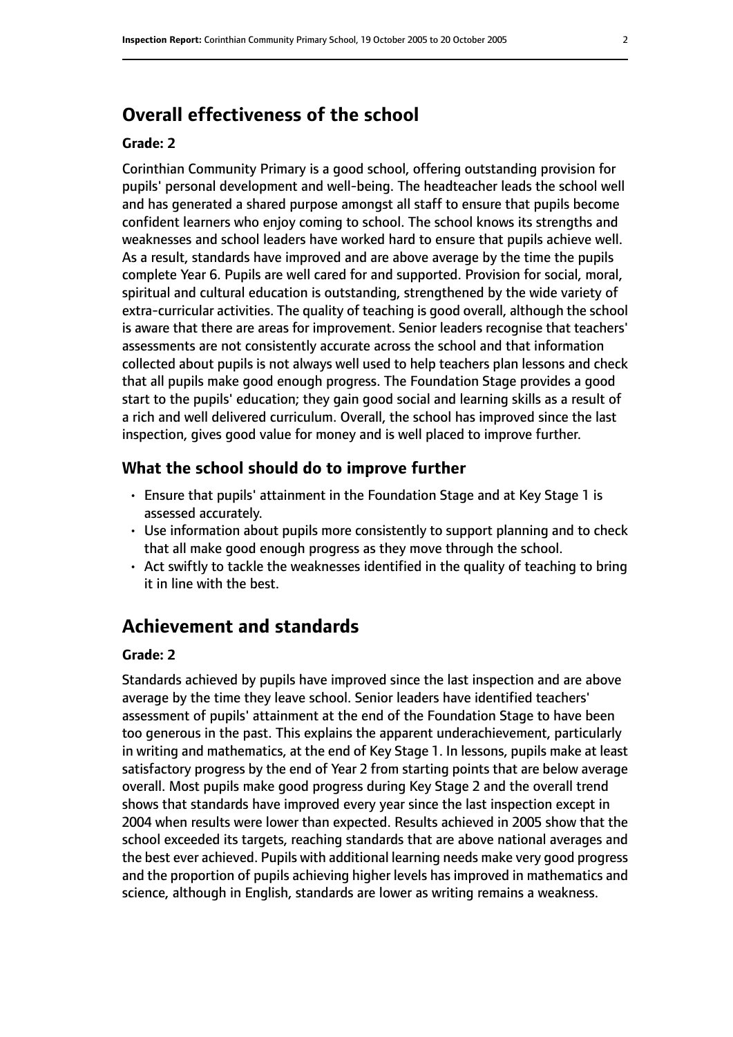# **Overall effectiveness of the school**

#### **Grade: 2**

Corinthian Community Primary is a good school, offering outstanding provision for pupils' personal development and well-being. The headteacher leads the school well and has generated a shared purpose amongst all staff to ensure that pupils become confident learners who enjoy coming to school. The school knows its strengths and weaknesses and school leaders have worked hard to ensure that pupils achieve well. As a result, standards have improved and are above average by the time the pupils complete Year 6. Pupils are well cared for and supported. Provision for social, moral, spiritual and cultural education is outstanding, strengthened by the wide variety of extra-curricular activities. The quality of teaching is good overall, although the school is aware that there are areas for improvement. Senior leaders recognise that teachers' assessments are not consistently accurate across the school and that information collected about pupils is not always well used to help teachers plan lessons and check that all pupils make good enough progress. The Foundation Stage provides a good start to the pupils' education; they gain good social and learning skills as a result of a rich and well delivered curriculum. Overall, the school has improved since the last inspection, gives good value for money and is well placed to improve further.

## **What the school should do to improve further**

- Ensure that pupils' attainment in the Foundation Stage and at Key Stage 1 is assessed accurately.
- Use information about pupils more consistently to support planning and to check that all make good enough progress as they move through the school.
- Act swiftly to tackle the weaknesses identified in the quality of teaching to bring it in line with the best.

# **Achievement and standards**

#### **Grade: 2**

Standards achieved by pupils have improved since the last inspection and are above average by the time they leave school. Senior leaders have identified teachers' assessment of pupils' attainment at the end of the Foundation Stage to have been too generous in the past. This explains the apparent underachievement, particularly in writing and mathematics, at the end of Key Stage 1. In lessons, pupils make at least satisfactory progress by the end of Year 2 from starting points that are below average overall. Most pupils make good progress during Key Stage 2 and the overall trend shows that standards have improved every year since the last inspection except in 2004 when results were lower than expected. Results achieved in 2005 show that the school exceeded its targets, reaching standards that are above national averages and the best ever achieved. Pupils with additional learning needs make very good progress and the proportion of pupils achieving higher levels has improved in mathematics and science, although in English, standards are lower as writing remains a weakness.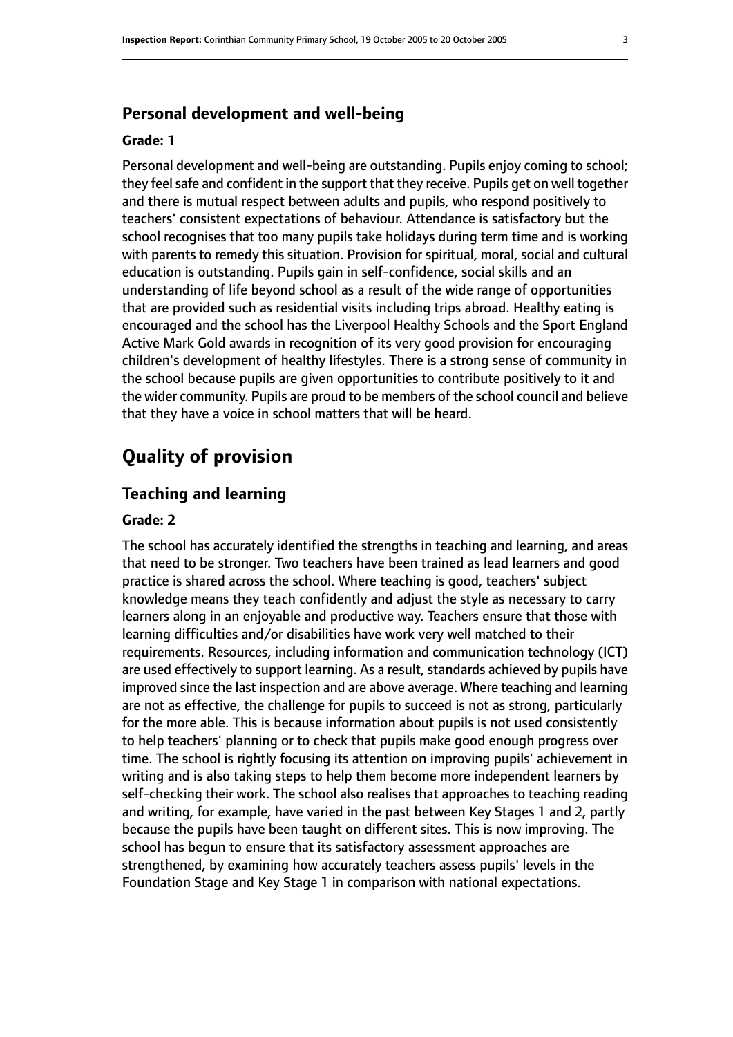#### **Personal development and well-being**

#### **Grade: 1**

Personal development and well-being are outstanding. Pupils enjoy coming to school; they feel safe and confident in the support that they receive. Pupils get on well together and there is mutual respect between adults and pupils, who respond positively to teachers' consistent expectations of behaviour. Attendance is satisfactory but the school recognises that too many pupils take holidays during term time and is working with parents to remedy this situation. Provision for spiritual, moral, social and cultural education is outstanding. Pupils gain in self-confidence, social skills and an understanding of life beyond school as a result of the wide range of opportunities that are provided such as residential visits including trips abroad. Healthy eating is encouraged and the school has the Liverpool Healthy Schools and the Sport England Active Mark Gold awards in recognition of its very good provision for encouraging children's development of healthy lifestyles. There is a strong sense of community in the school because pupils are given opportunities to contribute positively to it and the wider community. Pupils are proud to be members of the school council and believe that they have a voice in school matters that will be heard.

# **Quality of provision**

## **Teaching and learning**

## **Grade: 2**

The school has accurately identified the strengths in teaching and learning, and areas that need to be stronger. Two teachers have been trained as lead learners and good practice is shared across the school. Where teaching is good, teachers' subject knowledge means they teach confidently and adjust the style as necessary to carry learners along in an enjoyable and productive way. Teachers ensure that those with learning difficulties and/or disabilities have work very well matched to their requirements. Resources, including information and communication technology (ICT) are used effectively to support learning. As a result, standards achieved by pupils have improved since the last inspection and are above average. Where teaching and learning are not as effective, the challenge for pupils to succeed is not as strong, particularly for the more able. This is because information about pupils is not used consistently to help teachers' planning or to check that pupils make good enough progress over time. The school is rightly focusing its attention on improving pupils' achievement in writing and is also taking steps to help them become more independent learners by self-checking their work. The school also realises that approaches to teaching reading and writing, for example, have varied in the past between Key Stages 1 and 2, partly because the pupils have been taught on different sites. This is now improving. The school has begun to ensure that its satisfactory assessment approaches are strengthened, by examining how accurately teachers assess pupils' levels in the Foundation Stage and Key Stage 1 in comparison with national expectations.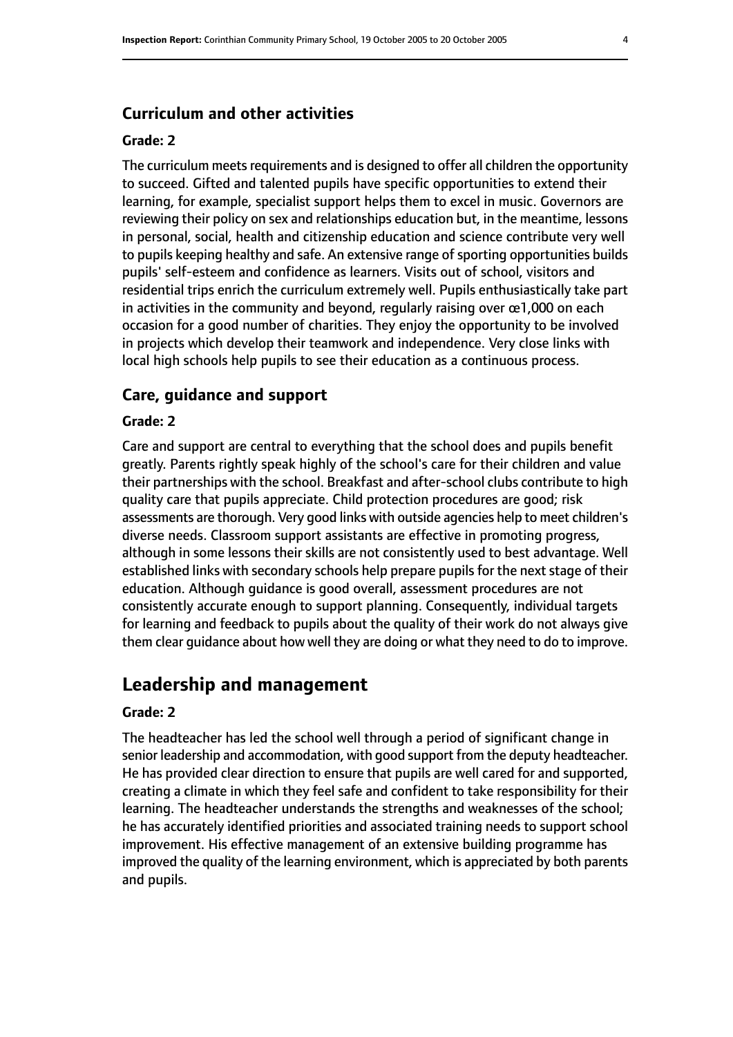## **Curriculum and other activities**

#### **Grade: 2**

The curriculum meets requirements and is designed to offer all children the opportunity to succeed. Gifted and talented pupils have specific opportunities to extend their learning, for example, specialist support helps them to excel in music. Governors are reviewing their policy on sex and relationships education but, in the meantime, lessons in personal, social, health and citizenship education and science contribute very well to pupils keeping healthy and safe. An extensive range of sporting opportunities builds pupils' self-esteem and confidence as learners. Visits out of school, visitors and residential trips enrich the curriculum extremely well. Pupils enthusiastically take part in activities in the community and beyond, regularly raising over  $\alpha$ 1,000 on each occasion for a good number of charities. They enjoy the opportunity to be involved in projects which develop their teamwork and independence. Very close links with local high schools help pupils to see their education as a continuous process.

#### **Care, guidance and support**

#### **Grade: 2**

Care and support are central to everything that the school does and pupils benefit greatly. Parents rightly speak highly of the school's care for their children and value their partnerships with the school. Breakfast and after-school clubs contribute to high quality care that pupils appreciate. Child protection procedures are good; risk assessments are thorough. Very good links with outside agencies help to meet children's diverse needs. Classroom support assistants are effective in promoting progress, although in some lessons their skills are not consistently used to best advantage. Well established links with secondary schools help prepare pupils for the next stage of their education. Although guidance is good overall, assessment procedures are not consistently accurate enough to support planning. Consequently, individual targets for learning and feedback to pupils about the quality of their work do not always give them clear guidance about how well they are doing or what they need to do to improve.

# **Leadership and management**

#### **Grade: 2**

The headteacher has led the school well through a period of significant change in senior leadership and accommodation, with good support from the deputy headteacher. He has provided clear direction to ensure that pupils are well cared for and supported, creating a climate in which they feel safe and confident to take responsibility for their learning. The headteacher understands the strengths and weaknesses of the school; he has accurately identified priorities and associated training needs to support school improvement. His effective management of an extensive building programme has improved the quality of the learning environment, which is appreciated by both parents and pupils.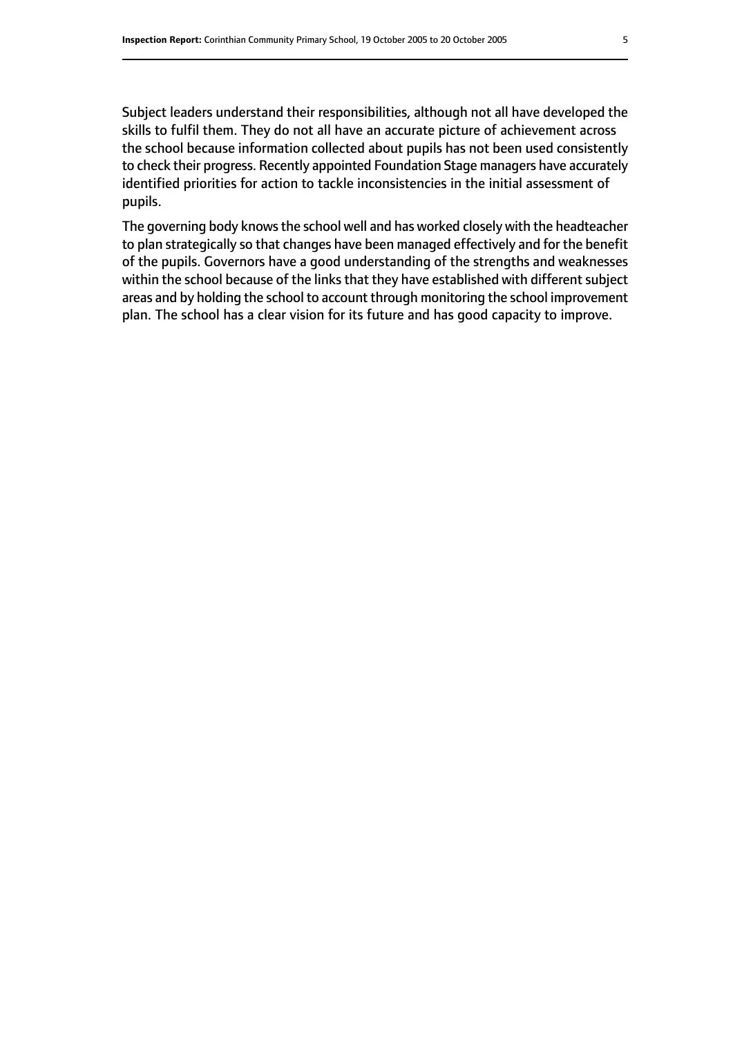Subject leaders understand their responsibilities, although not all have developed the skills to fulfil them. They do not all have an accurate picture of achievement across the school because information collected about pupils has not been used consistently to check their progress. Recently appointed Foundation Stage managers have accurately identified priorities for action to tackle inconsistencies in the initial assessment of pupils.

The governing body knows the school well and has worked closely with the headteacher to plan strategically so that changes have been managed effectively and for the benefit of the pupils. Governors have a good understanding of the strengths and weaknesses within the school because of the links that they have established with different subject areas and by holding the school to account through monitoring the school improvement plan. The school has a clear vision for its future and has good capacity to improve.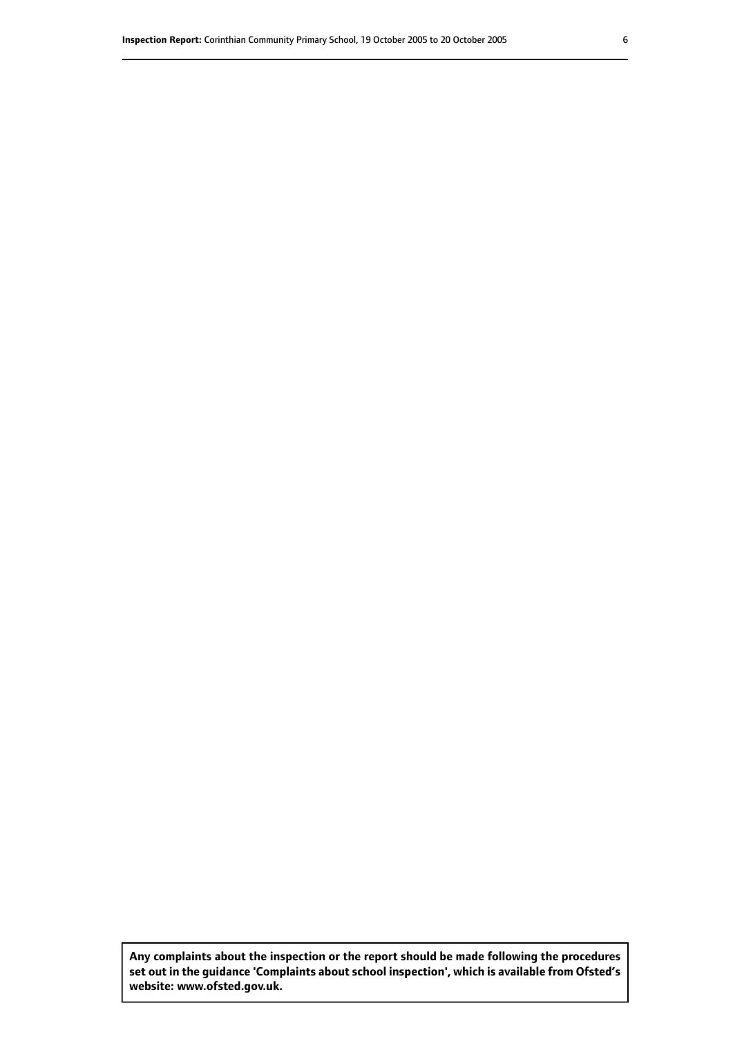**Any complaints about the inspection or the report should be made following the procedures set out inthe guidance 'Complaints about school inspection', whichis available from Ofsted's website: www.ofsted.gov.uk.**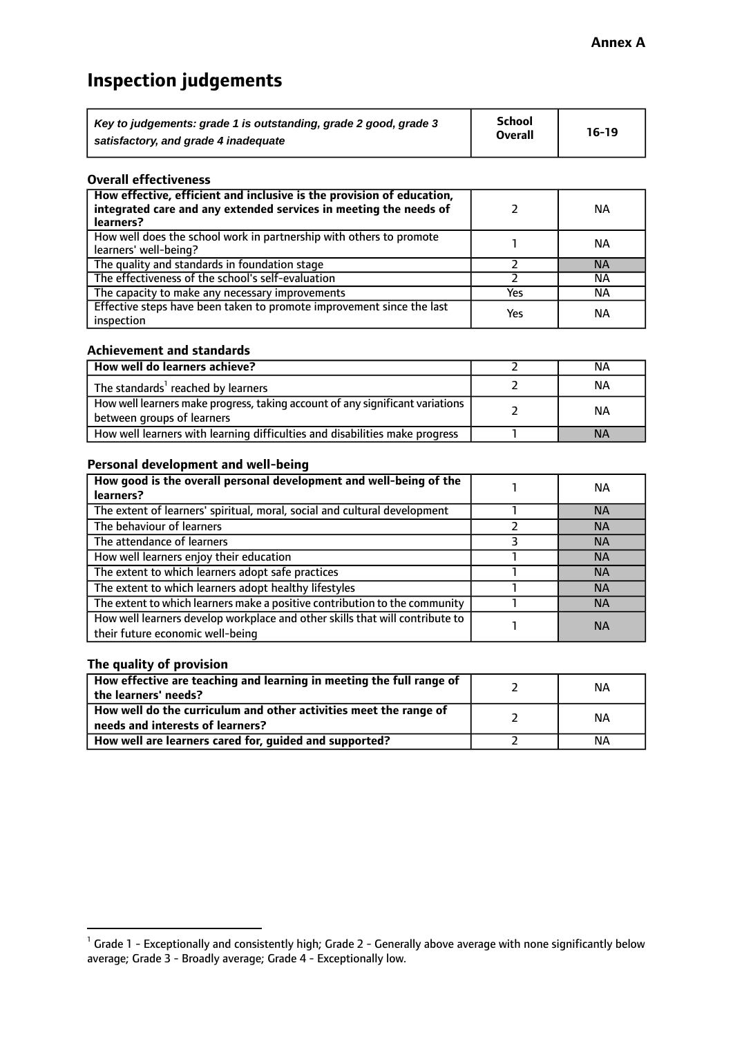# **Inspection judgements**

| Key to judgements: grade 1 is outstanding, grade 2 good, grade 3 | School         | $16-19$ |
|------------------------------------------------------------------|----------------|---------|
| satisfactory, and grade 4 inadequate                             | <b>Overall</b> |         |

#### **Overall effectiveness**

| How effective, efficient and inclusive is the provision of education,<br>integrated care and any extended services in meeting the needs of<br>learners? |     | NА        |
|---------------------------------------------------------------------------------------------------------------------------------------------------------|-----|-----------|
| How well does the school work in partnership with others to promote<br>learners' well-being?                                                            |     | NА        |
| The quality and standards in foundation stage                                                                                                           |     | <b>NA</b> |
| The effectiveness of the school's self-evaluation                                                                                                       |     | ΝA        |
| The capacity to make any necessary improvements                                                                                                         | Yes | NА        |
| Effective steps have been taken to promote improvement since the last<br>inspection                                                                     | Yes | ΝA        |

#### **Achievement and standards**

| How well do learners achieve?                                                                               | ΝA        |
|-------------------------------------------------------------------------------------------------------------|-----------|
| The standards <sup>1</sup> reached by learners                                                              | NА        |
| How well learners make progress, taking account of any significant variations<br>between groups of learners | <b>NA</b> |
| How well learners with learning difficulties and disabilities make progress                                 | <b>NA</b> |

## **Personal development and well-being**

| How good is the overall personal development and well-being of the<br>learners?                                  | ΝA        |
|------------------------------------------------------------------------------------------------------------------|-----------|
| The extent of learners' spiritual, moral, social and cultural development                                        | <b>NA</b> |
| The behaviour of learners                                                                                        | <b>NA</b> |
| The attendance of learners                                                                                       | <b>NA</b> |
| How well learners enjoy their education                                                                          | <b>NA</b> |
| The extent to which learners adopt safe practices                                                                | <b>NA</b> |
| The extent to which learners adopt healthy lifestyles                                                            | <b>NA</b> |
| The extent to which learners make a positive contribution to the community                                       | <b>NA</b> |
| How well learners develop workplace and other skills that will contribute to<br>their future economic well-being | <b>NA</b> |

## **The quality of provision**

| How effective are teaching and learning in meeting the full range of<br>the learners' needs?          | ΝA |
|-------------------------------------------------------------------------------------------------------|----|
| How well do the curriculum and other activities meet the range of<br>needs and interests of learners? | ΝA |
| How well are learners cared for, guided and supported?                                                | NА |

 $^1$  Grade 1 - Exceptionally and consistently high; Grade 2 - Generally above average with none significantly below average; Grade 3 - Broadly average; Grade 4 - Exceptionally low.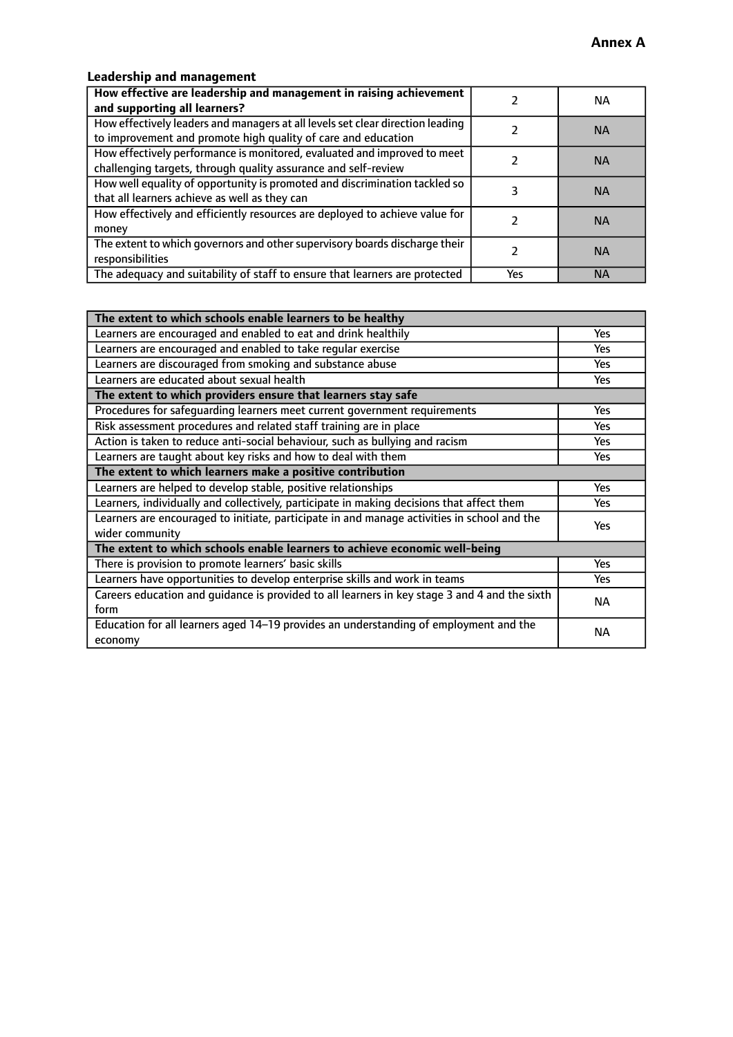# **Leadership and management**

| How effective are leadership and management in raising achievement<br>and supporting all learners?                                              |     | NA.       |
|-------------------------------------------------------------------------------------------------------------------------------------------------|-----|-----------|
| How effectively leaders and managers at all levels set clear direction leading<br>to improvement and promote high quality of care and education |     | <b>NA</b> |
| How effectively performance is monitored, evaluated and improved to meet<br>challenging targets, through quality assurance and self-review      |     | <b>NA</b> |
| How well equality of opportunity is promoted and discrimination tackled so<br>that all learners achieve as well as they can                     |     | <b>NA</b> |
| How effectively and efficiently resources are deployed to achieve value for<br>money                                                            |     | <b>NA</b> |
| The extent to which governors and other supervisory boards discharge their<br>responsibilities                                                  |     | <b>NA</b> |
| The adequacy and suitability of staff to ensure that learners are protected                                                                     | Yes | <b>NA</b> |

| The extent to which schools enable learners to be healthy                                     |            |  |
|-----------------------------------------------------------------------------------------------|------------|--|
| Learners are encouraged and enabled to eat and drink healthily                                | Yes        |  |
| Learners are encouraged and enabled to take regular exercise                                  | Yes        |  |
| Learners are discouraged from smoking and substance abuse                                     | <b>Yes</b> |  |
| Learners are educated about sexual health                                                     | <b>Yes</b> |  |
| The extent to which providers ensure that learners stay safe                                  |            |  |
| Procedures for safequarding learners meet current government requirements                     | Yes        |  |
| Risk assessment procedures and related staff training are in place                            | Yes        |  |
| Action is taken to reduce anti-social behaviour, such as bullying and racism                  | Yes        |  |
| Learners are taught about key risks and how to deal with them                                 | <b>Yes</b> |  |
| The extent to which learners make a positive contribution                                     |            |  |
| Learners are helped to develop stable, positive relationships                                 | Yes        |  |
| Learners, individually and collectively, participate in making decisions that affect them     | Yes        |  |
| Learners are encouraged to initiate, participate in and manage activities in school and the   | <b>Yes</b> |  |
| wider community                                                                               |            |  |
| The extent to which schools enable learners to achieve economic well-being                    |            |  |
| There is provision to promote learners' basic skills                                          | Yes        |  |
| Learners have opportunities to develop enterprise skills and work in teams                    | <b>Yes</b> |  |
| Careers education and guidance is provided to all learners in key stage 3 and 4 and the sixth | <b>NA</b>  |  |
| form                                                                                          |            |  |
| Education for all learners aged 14-19 provides an understanding of employment and the         | NА         |  |
| economy                                                                                       |            |  |